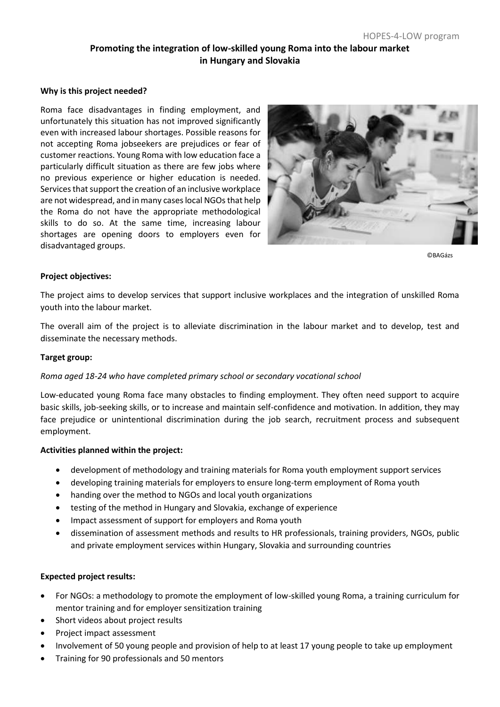# **Promoting the integration of low-skilled young Roma into the labour market in Hungary and Slovakia**

#### **Why is this project needed?**

Roma face disadvantages in finding employment, and unfortunately this situation has not improved significantly even with increased labour shortages. Possible reasons for not accepting Roma jobseekers are prejudices or fear of customer reactions. Young Roma with low education face a particularly difficult situation as there are few jobs where no previous experience or higher education is needed. Services that support the creation of an inclusive workplace are not widespread, and in many cases local NGOs that help the Roma do not have the appropriate methodological skills to do so. At the same time, increasing labour shortages are opening doors to employers even for disadvantaged groups.



©BAGázs

#### **Project objectives:**

The project aims to develop services that support inclusive workplaces and the integration of unskilled Roma youth into the labour market.

The overall aim of the project is to alleviate discrimination in the labour market and to develop, test and disseminate the necessary methods.

#### **Target group:**

#### *Roma aged 18-24 who have completed primary school or secondary vocational school*

Low-educated young Roma face many obstacles to finding employment. They often need support to acquire basic skills, job-seeking skills, or to increase and maintain self-confidence and motivation. In addition, they may face prejudice or unintentional discrimination during the job search, recruitment process and subsequent employment.

#### **Activities planned within the project:**

- development of methodology and training materials for Roma youth employment support services
- developing training materials for employers to ensure long-term employment of Roma youth
- handing over the method to NGOs and local youth organizations
- testing of the method in Hungary and Slovakia, exchange of experience
- Impact assessment of support for employers and Roma youth
- dissemination of assessment methods and results to HR professionals, training providers, NGOs, public and private employment services within Hungary, Slovakia and surrounding countries

#### **Expected project results:**

- For NGOs: a methodology to promote the employment of low-skilled young Roma, a training curriculum for mentor training and for employer sensitization training
- Short videos about project results
- Project impact assessment
- Involvement of 50 young people and provision of help to at least 17 young people to take up employment
- Training for 90 professionals and 50 mentors